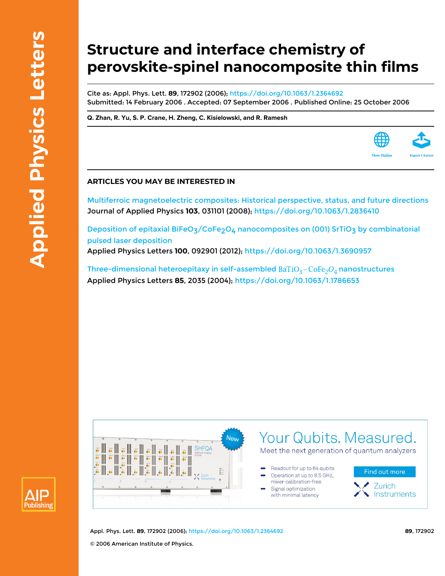# **Structure and interface chemistry of perovskite-spinel nanocomposite thin films**

Cite as: Appl. Phys. Lett. **89**, 172902 (2006);<https://doi.org/10.1063/1.2364692> Submitted: 14 February 2006 . Accepted: 07 September 2006 . Published Online: 25 October 2006

**[Q. Zhan](https://aip.scitation.org/author/Zhan%2C+Q), [R. Yu](https://aip.scitation.org/author/Yu%2C+R), [S. P. Crane,](https://aip.scitation.org/author/Crane%2C+S+P) [H. Zheng](https://aip.scitation.org/author/Zheng%2C+H), [C. Kisielowski](https://aip.scitation.org/author/Kisielowski%2C+C), and [R. Ramesh](https://aip.scitation.org/author/Ramesh%2C+R)**

## **ARTICLES YOU MAY BE INTERESTED IN**

[Multiferroic magnetoelectric composites: Historical perspective, status, and future directions](https://aip.scitation.org/doi/10.1063/1.2836410) Journal of Applied Physics **103**, 031101 (2008);<https://doi.org/10.1063/1.2836410>

Deposition of epitaxial BiFeO<sub>3</sub>/CoFe<sub>2</sub>O<sub>4</sub> nanocomposites on (001) SrTiO<sub>3</sub> by combinatorial [pulsed laser deposition](https://aip.scitation.org/doi/10.1063/1.3690957) Applied Physics Letters **100**, 092901 (2012); <https://doi.org/10.1063/1.3690957>

Three-dimensional heteroepitaxy in self-assembled  $BaTiO<sub>3</sub>-CoFe<sub>2</sub>O<sub>4</sub>$  nanostructures Applied Physics Letters **85**, 2035 (2004);<https://doi.org/10.1063/1.1786653>





Appl. Phys. Lett. **89**, 172902 (2006); <https://doi.org/10.1063/1.2364692> **89**, 172902 © 2006 American Institute of Physics.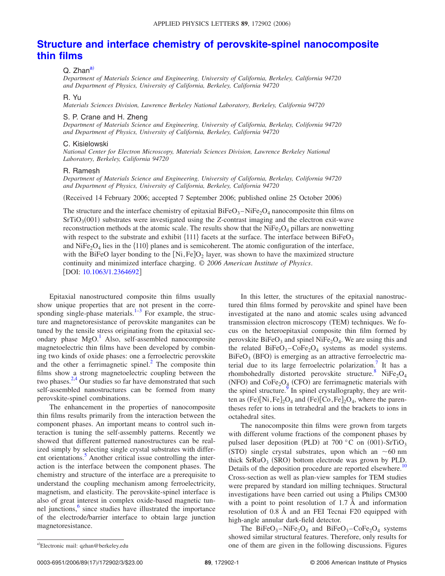# **[Structure and interface chemistry of perovskite-spinel nanocomposite](http://dx.doi.org/10.1063/1.2364692) [thin films](http://dx.doi.org/10.1063/1.2364692)**

### Q. Zhan<sup>a)</sup>

*Department of Materials Science and Engineering, University of California, Berkeley, California 94720 and Department of Physics, University of California, Berkeley, California 94720*

#### R. Yu

*Materials Sciences Division, Lawrence Berkeley National Laboratory, Berkeley, California 94720*

#### S. P. Crane and H. Zheng

*Department of Materials Science and Engineering, University of California, Berkelay, Colifornia 94720 and Department of Physics, University of California, Berkeley, California 94720*

#### C. Kisielowski

*National Center for Electron Microscopy, Materials Sciences Division, Lawrence Berkeley National Laboratory, Berkeley, California 94720*

#### R. Ramesh

*Department of Materials Science and Engineering, University of California, Berkelay, Colifornia 94720 and Department of Physics, University of California, Berkeley, California 94720*

(Received 14 February 2006; accepted 7 September 2006; published online 25 October 2006)

The structure and the interface chemistry of epitaxial  $BiFeO<sub>3</sub> - NiFe<sub>2</sub>O<sub>4</sub>$  nanocomposite thin films on SrTiO<sub>3</sub>(001) substrates were investigated using the *Z*-contrast imaging and the electron exit-wave reconstruction methods at the atomic scale. The results show that the NiFe<sub>2</sub>O<sub>4</sub> pillars are nonwetting with respect to the substrate and exhibit  $\{111\}$  facets at the surface. The interface between BiFeO<sub>3</sub> and NiFe<sub>2</sub>O<sub>4</sub> lies in the  $\{110\}$  planes and is semicoherent. The atomic configuration of the interface, with the BiFeO layer bonding to the  $\text{[Ni},\text{Fe}]\text{O}_2$  layer, was shown to have the maximized structure continuity and minimized interface charging. © *2006 American Institute of Physics*. [DOI: [10.1063/1.2364692](http://dx.doi.org/10.1063/1.2364692)]

Epitaxial nanostructured composite thin films usually show unique properties that are not present in the corre-sponding single-phase materials.<sup>1–[3](#page-3-1)</sup> For example, the structure and magnetoresistance of perovskite manganites can be tuned by the tensile stress originating from the epitaxial secondary phase  $MgO<sup>1</sup>$  Also, self-assembled nanocomposite magnetoelectric thin films have been developed by combining two kinds of oxide phases: one a ferroelectric perovskite and the other a ferrimagnetic spinel.<sup>2</sup> The composite thin films show a strong magnetoelectric coupling between the two phases. $2,4$  $2,4$  Our studies so far have demonstrated that such self-assembled nanostructures can be formed from many perovskite-spinel combinations.

The enhancement in the properties of nanocomposite thin films results primarily from the interaction between the component phases. An important means to control such interaction is tuning the self-assembly patterns. Recently we showed that different patterned nanostructures can be realized simply by selecting single crystal substrates with different orientations.<sup>3</sup> Another critical issue controlling the interaction is the interface between the component phases. The chemistry and structure of the interface are a prerequisite to understand the coupling mechanism among ferroelectricity, magnetism, and elasticity. The perovskite-spinel interface is also of great interest in complex oxide-based magnetic tunnel junctions, $\frac{6}{5}$  since studies have illustrated the importance of the electrode/barrier interface to obtain large junction magnetoresistance.

In this letter, the structures of the epitaxial nanostructured thin films formed by perovskite and spinel have been investigated at the nano and atomic scales using advanced transmission electron microscopy (TEM) techniques. We focus on the heteroepitaxial composite thin film formed by perovskite  $BiFeO<sub>3</sub>$  and spinel NiFe<sub>2</sub>O<sub>4</sub>. We are using this and the related  $BiFeO_3-CoFe_2O_4$  systems as model systems.  $B$ iFeO<sub>3</sub> (BFO) is emerging as an attractive ferroelectric material due to its large ferroelectric polarization.<sup>7</sup> It has a rhombohedrally distorted perovskite structure.<sup>8</sup> NiFe<sub>2</sub>O<sub>4</sub> (NFO) and  $\text{CoFe}_2\text{O}_4$  (CFO) are ferrimagnetic materials with the spinel structure.<sup>9</sup> In spinel crystallography, they are written as  $(Fe)[Ni,Fe]_2O_4$  and  $(Fe)[Co,Fe]_2O_4$ , where the parentheses refer to ions in tetrahedral and the brackets to ions in octahedral sites.

The nanocomposite thin films were grown from targets with different volume fractions of the component phases by pulsed laser deposition (PLD) at 700 °C on (001)-SrTiO<sub>3</sub> (STO) single crystal substrates, upon which an  $\sim$  60 nm thick  $SFRuO<sub>3</sub>$  (SRO) bottom electrode was grown by PLD. Details of the deposition procedure are reported elsewhere.<sup>10</sup> Cross-section as well as plan-view samples for TEM studies were prepared by standard ion milling techniques. Structural investigations have been carried out using a Philips CM300 with a point to point resolution of 1.7 Å and information resolution of 0.8 Å and an FEI Tecnai F20 equipped with high-angle annular dark-field detector.

The BiFeO<sub>3</sub>-NiFe<sub>2</sub>O<sub>4</sub> and BiFeO<sub>3</sub>-CoFe<sub>2</sub>O<sub>4</sub> systems showed similar structural features. Therefore, only results for one of them are given in the following discussions. Figures

0003-6951/2006/89(17)/172902/3/\$23.00

<span id="page-1-0"></span>Electronic mail: qzhan@berkeley.edu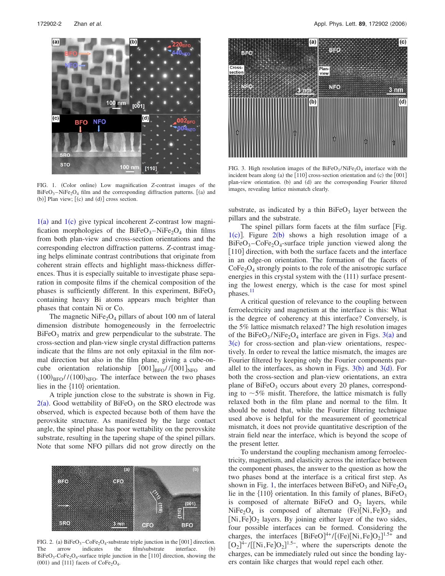<span id="page-2-0"></span>

FIG. 1. (Color online) Low magnification *Z*-contrast images of the  $BiFeO<sub>3</sub> - NiFe<sub>2</sub>O<sub>4</sub> film and the corresponding diffraction patterns. [ (a) and$  $(b)$ ] Plan view;  $[(c)$  and  $(d)]$  cross section.

 $1(a)$  $1(a)$  and  $1(c)$  give typical incoherent *Z*-contrast low magnification morphologies of the  $BiFeO<sub>3</sub> - NiFe<sub>2</sub>O<sub>4</sub>$  thin films from both plan-view and cross-section orientations and the corresponding electron diffraction patterns. *Z*-contrast imaging helps eliminate contrast contributions that originate from coherent strain effects and highlight mass-thickness differences. Thus it is especially suitable to investigate phase separation in composite films if the chemical composition of the phases is sufficiently different. In this experiment,  $BiFeO<sub>3</sub>$ containing heavy Bi atoms appears much brighter than phases that contain Ni or Co.

The magnetic  $NiFe<sub>2</sub>O<sub>4</sub>$  pillars of about 100 nm of lateral dimension distribute homogeneously in the ferroelectric  $BiFeO<sub>3</sub>$  matrix and grew perpendicular to the substrate. The cross-section and plan-view single crystal diffraction patterns indicate that the films are not only epitaxial in the film normal direction but also in the film plane, giving a cube-oncube orientation relationship  $[001]_{\text{BFO}}$  // $[001]_{\text{NFO}}$  and  $(100)_{\text{BFO}}$ // $(100)_{\text{NFO}}$ . The interface between the two phases lies in the  $\{110\}$  orientation.

A triple junction close to the substrate is shown in Fig.  $2(a)$  $2(a)$ . Good wettability of BiFeO<sub>3</sub> on the SRO electrode was observed, which is expected because both of them have the perovskite structure. As manifested by the large contact angle, the spinel phase has poor wettability on the perovskite substrate, resulting in the tapering shape of the spinel pillars. Note that some NFO pillars did not grow directly on the

<span id="page-2-1"></span>

FIG. 2. (a)  $BiFeO_3-CoFe_2O_4$ -substrate triple junction in the [001] direction. The arrow indicates the film/substrate interface.  $(b)$  $BiFeO_3-CoFe_2O_4$ -surface triple junction in the [110] direction, showing the (001) and  $\{111\}$  facets of CoFe<sub>2</sub>O<sub>4</sub>.

<span id="page-2-2"></span>

FIG. 3. High resolution images of the  $BiFeO<sub>3</sub>/NiFe<sub>2</sub>O<sub>4</sub>$  interface with the incident beam along (a) the  $[110]$  cross-section orientation and (c) the  $[001]$ plan-view orientation. (b) and (d) are the corresponding Fourier filtered images, revealing lattice mismatch clearly.

substrate, as indicated by a thin  $BiFeO<sub>3</sub>$  layer between the pillars and the substrate.

The spinel pillars form facets at the film surface [Fig.  $1(c)$  $1(c)$ ]. Figure  $2(b)$  $2(b)$  shows a high resolution image of a  $BiFeO<sub>3</sub> - CoFe<sub>2</sub>O<sub>4</sub> - surface triple junction viewed along the$ [110] direction, with both the surface facets and the interface in an edge-on orientation. The formation of the facets of  $CoFe<sub>2</sub>O<sub>4</sub>$  strongly points to the role of the anisotropic surface energies in this crystal system with the (111) surface presenting the lowest energy, which is the case for most spinel phases.<sup>11</sup>

A critical question of relevance to the coupling between ferroelectricity and magnetism at the interface is this: What is the degree of coherency at this interface? Conversely, is the 5% lattice mismatch relaxed? The high resolution images of the BiFeO<sub>[3](#page-2-2)</sub>/NiFe<sub>2</sub>O<sub>4</sub> interface are given in Figs.  $3(a)$  and  $3(c)$  $3(c)$  for cross-section and plan-view orientations, respectively. In order to reveal the lattice mismatch, the images are Fourier filtered by keeping only the Fourier components parallel to the interfaces, as shown in Figs.  $3(b)$  $3(b)$  and  $3(d)$ . For both the cross-section and plan-view orientations, an extra plane of  $BiFeO<sub>3</sub>$  occurs about every 20 planes, corresponding to  $\sim$  5% misfit. Therefore, the lattice mismatch is fully relaxed both in the film plane and normal to the film. It should be noted that, while the Fourier filtering technique used above is helpful for the measurement of geometrical mismatch, it does not provide quantitative description of the strain field near the interface, which is beyond the scope of the present letter.

To understand the coupling mechanism among ferroelectricity, magnetism, and elasticity across the interface between the component phases, the answer to the question as how the two phases bond at the interface is a critical first step. As shown in Fig. [1,](#page-2-0) the interfaces between  $BiFeO<sub>3</sub>$  and  $NiFe<sub>2</sub>O<sub>4</sub>$ lie in the  $\{110\}$  orientation. In this family of planes, BiFeO<sub>3</sub> is composed of alternate BiFeO and  $O_2$  layers, while  $NiFe<sub>2</sub>O<sub>4</sub>$  is composed of alternate  $(Fe)[Ni,Fe]O<sub>2</sub>$  and [Ni, Fe] $O_2$  layers. By joining either layer of the two sides, four possible interfaces can be formed. Considering the charges, the interfaces  $[BiFeO]^{4+}/[(Fe)[Ni,Fe]O_2]^{1.5+}$  and  $[O_2]^{4-} / [[Ni, Fe]O_2]^{1.5-}$ , where the superscripts denote the charges, can be immediately ruled out since the bonding layers contain like charges that would repel each other.